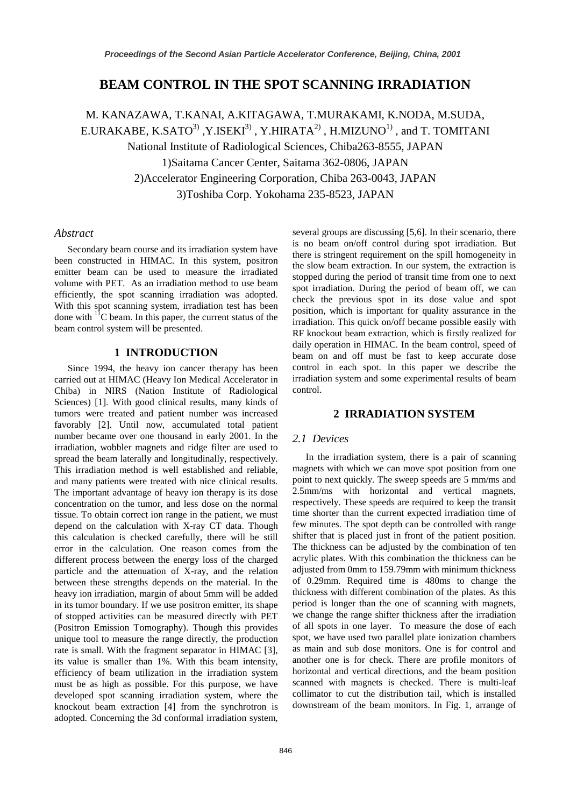# **BEAM CONTROL IN THE SPOT SCANNING IRRADIATION**

M. KANAZAWA, T.KANAI, A.KITAGAWA, T.MURAKAMI, K.NODA, M.SUDA, E.URAKABE, K.SATO<sup>3)</sup>, Y.ISEKI<sup>3)</sup>, Y.HIRATA<sup>2)</sup>, H.MIZUNO<sup>1)</sup>, and T. TOMITANI National Institute of Radiological Sciences, Chiba263-8555, JAPAN 1)Saitama Cancer Center, Saitama 362-0806, JAPAN 2)Accelerator Engineering Corporation, Chiba 263-0043, JAPAN 3)Toshiba Corp. Yokohama 235-8523, JAPAN

## *Abstract*

Secondary beam course and its irradiation system have been constructed in HIMAC. In this system, positron emitter beam can be used to measure the irradiated volume with PET. As an irradiation method to use beam efficiently, the spot scanning irradiation was adopted. With this spot scanning system, irradiation test has been done with 11C beam. In this paper, the current status of the beam control system will be presented.

## **1 INTRODUCTION**

Since 1994, the heavy ion cancer therapy has been carried out at HIMAC (Heavy Ion Medical Accelerator in Chiba) in NIRS (Nation Institute of Radiological Sciences) [1]. With good clinical results, many kinds of tumors were treated and patient number was increased favorably [2]. Until now, accumulated total patient number became over one thousand in early 2001. In the irradiation, wobbler magnets and ridge filter are used to spread the beam laterally and longitudinally, respectively. This irradiation method is well established and reliable, and many patients were treated with nice clinical results. The important advantage of heavy ion therapy is its dose concentration on the tumor, and less dose on the normal tissue. To obtain correct ion range in the patient, we must depend on the calculation with X-ray CT data. Though this calculation is checked carefully, there will be still error in the calculation. One reason comes from the different process between the energy loss of the charged particle and the attenuation of X-ray, and the relation between these strengths depends on the material. In the heavy ion irradiation, margin of about 5mm will be added in its tumor boundary. If we use positron emitter, its shape of stopped activities can be measured directly with PET (Positron Emission Tomography). Though this provides unique tool to measure the range directly, the production rate is small. With the fragment separator in HIMAC [3], its value is smaller than 1%. With this beam intensity, efficiency of beam utilization in the irradiation system must be as high as possible. For this purpose, we have developed spot scanning irradiation system, where the knockout beam extraction [4] from the synchrotron is adopted. Concerning the 3d conformal irradiation system, several groups are discussing [5,6]. In their scenario, there is no beam on/off control during spot irradiation. But there is stringent requirement on the spill homogeneity in the slow beam extraction. In our system, the extraction is stopped during the period of transit time from one to next spot irradiation. During the period of beam off, we can check the previous spot in its dose value and spot position, which is important for quality assurance in the irradiation. This quick on/off became possible easily with RF knockout beam extraction, which is firstly realized for daily operation in HIMAC. In the beam control, speed of beam on and off must be fast to keep accurate dose control in each spot. In this paper we describe the irradiation system and some experimental results of beam control.

# **2 IRRADIATION SYSTEM**

## *2.1 Devices*

In the irradiation system, there is a pair of scanning magnets with which we can move spot position from one point to next quickly. The sweep speeds are 5 mm/ms and 2.5mm/ms with horizontal and vertical magnets, respectively. These speeds are required to keep the transit time shorter than the current expected irradiation time of few minutes. The spot depth can be controlled with range shifter that is placed just in front of the patient position. The thickness can be adjusted by the combination of ten acrylic plates. With this combination the thickness can be adjusted from 0mm to 159.79mm with minimum thickness of 0.29mm. Required time is 480ms to change the thickness with different combination of the plates. As this period is longer than the one of scanning with magnets, we change the range shifter thickness after the irradiation of all spots in one layer. To measure the dose of each spot, we have used two parallel plate ionization chambers as main and sub dose monitors. One is for control and another one is for check. There are profile monitors of horizontal and vertical directions, and the beam position scanned with magnets is checked. There is multi-leaf collimator to cut the distribution tail, which is installed downstream of the beam monitors. In Fig. 1, arrange of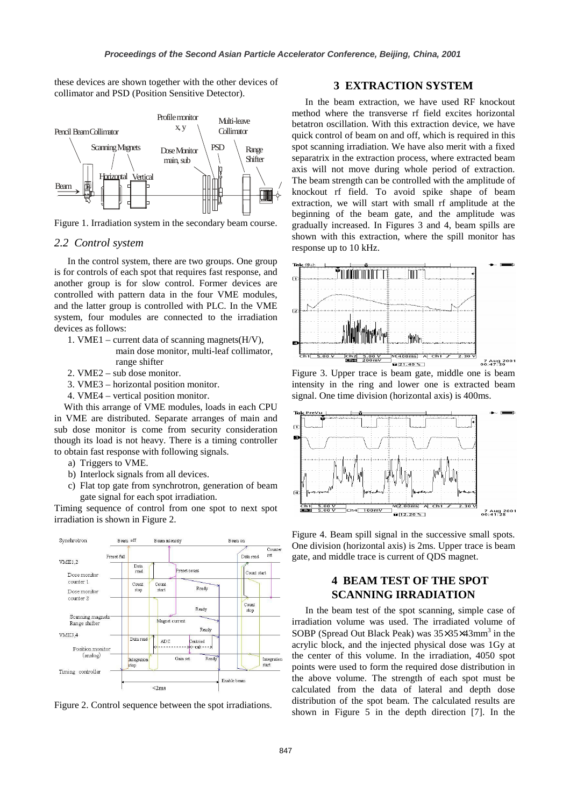these devices are shown together with the other devices of collimator and PSD (Position Sensitive Detector).



Figure 1. Irradiation system in the secondary beam course.

### *2.2 Control system*

In the control system, there are two groups. One group is for controls of each spot that requires fast response, and another group is for slow control. Former devices are controlled with pattern data in the four VME modules, and the latter group is controlled with PLC. In the VME system, four modules are connected to the irradiation devices as follows:

- 1. VME1 current data of scanning magnets $(H/V)$ , main dose monitor, multi-leaf collimator, range shifter
- 2. VME2 sub dose monitor.
- 3. VME3 horizontal position monitor.
- 4. VME4 vertical position monitor.

With this arrange of VME modules, loads in each CPU in VME are distributed. Separate arranges of main and sub dose monitor is come from security consideration though its load is not heavy. There is a timing controller to obtain fast response with following signals.

- a) Triggers to VME.
- b) Interlock signals from all devices.
- c) Flat top gate from synchrotron, generation of beam gate signal for each spot irradiation.

Timing sequence of control from one spot to next spot irradiation is shown in Figure 2.



Figure 2. Control sequence between the spot irradiations.

## **3 EXTRACTION SYSTEM**

In the beam extraction, we have used RF knockout method where the transverse rf field excites horizontal betatron oscillation. With this extraction device, we have quick control of beam on and off, which is required in this spot scanning irradiation. We have also merit with a fixed separatrix in the extraction process, where extracted beam axis will not move during whole period of extraction. The beam strength can be controlled with the amplitude of knockout rf field. To avoid spike shape of beam extraction, we will start with small rf amplitude at the beginning of the beam gate, and the amplitude was gradually increased. In Figures 3 and 4, beam spills are shown with this extraction, where the spill monitor has response up to 10 kHz.



Figure 3. Upper trace is beam gate, middle one is beam intensity in the ring and lower one is extracted beam signal. One time division (horizontal axis) is 400ms.



Figure 4. Beam spill signal in the successive small spots. One division (horizontal axis) is 2ms. Upper trace is beam gate, and middle trace is current of QDS magnet.

# **4 BEAM TEST OF THE SPOT SCANNING IRRADIATION**

In the beam test of the spot scanning, simple case of irradiation volume was used. The irradiated volume of SOBP (Spread Out Black Peak) was  $35\times35\times43$  mm<sup>3</sup> in the acrylic block, and the injected physical dose was 1Gy at the center of this volume. In the irradiation, 4050 spot points were used to form the required dose distribution in the above volume. The strength of each spot must be calculated from the data of lateral and depth dose distribution of the spot beam. The calculated results are shown in Figure 5 in the depth direction [7]. In the